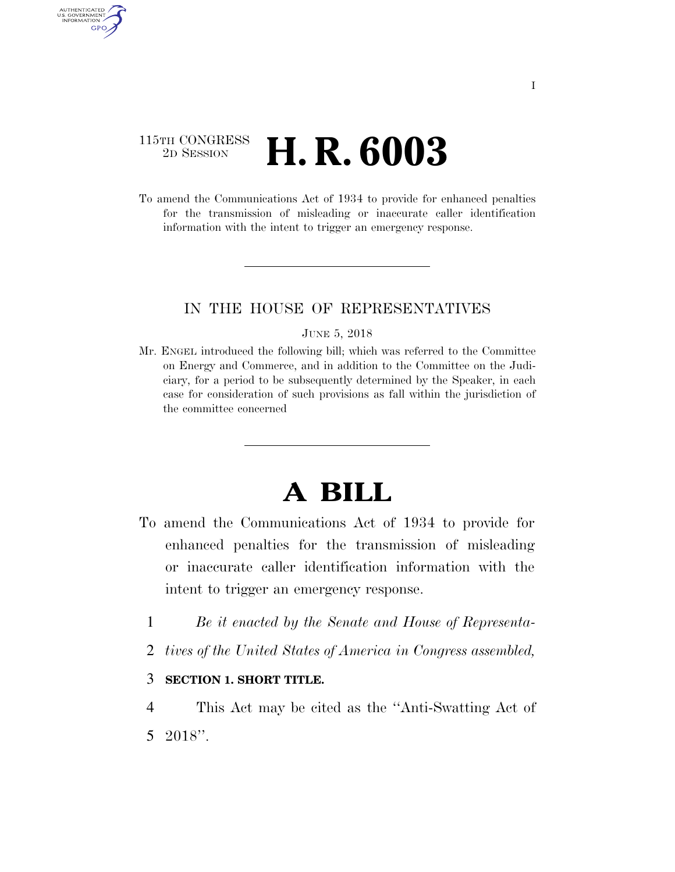## 115TH CONGRESS<br>2D SESSION 2D SESSION **H. R. 6003**

AUTHENTICATED U.S. GOVERNMENT GPO

> To amend the Communications Act of 1934 to provide for enhanced penalties for the transmission of misleading or inaccurate caller identification information with the intent to trigger an emergency response.

### IN THE HOUSE OF REPRESENTATIVES

#### JUNE 5, 2018

Mr. ENGEL introduced the following bill; which was referred to the Committee on Energy and Commerce, and in addition to the Committee on the Judiciary, for a period to be subsequently determined by the Speaker, in each case for consideration of such provisions as fall within the jurisdiction of the committee concerned

# **A BILL**

- To amend the Communications Act of 1934 to provide for enhanced penalties for the transmission of misleading or inaccurate caller identification information with the intent to trigger an emergency response.
	- 1 *Be it enacted by the Senate and House of Representa-*
	- 2 *tives of the United States of America in Congress assembled,*

## 3 **SECTION 1. SHORT TITLE.**

4 This Act may be cited as the ''Anti-Swatting Act of 5 2018''.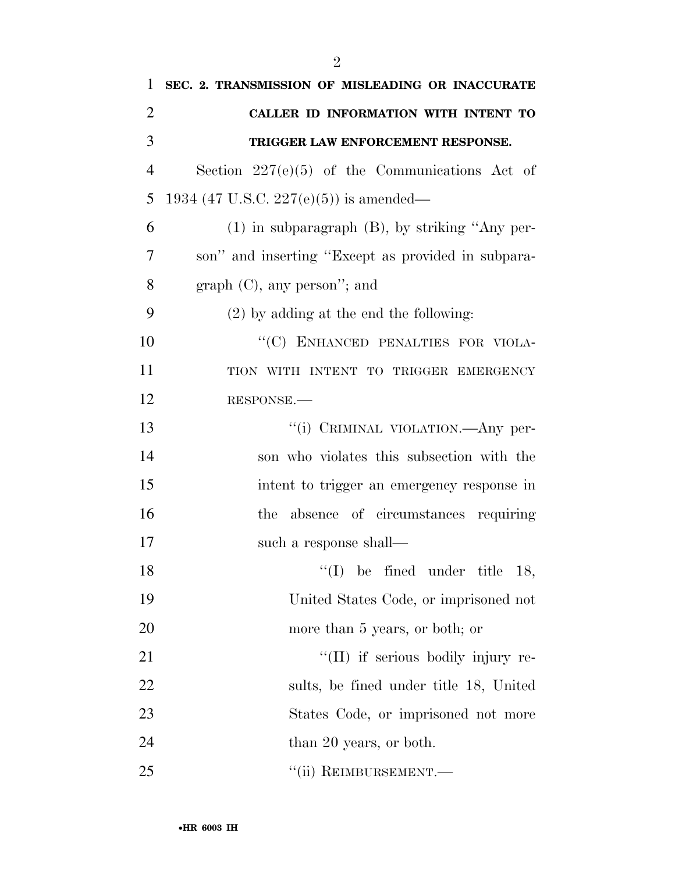| 1              | SEC. 2. TRANSMISSION OF MISLEADING OR INACCURATE    |
|----------------|-----------------------------------------------------|
| $\overline{2}$ | CALLER ID INFORMATION WITH INTENT TO                |
| 3              | TRIGGER LAW ENFORCEMENT RESPONSE.                   |
| $\overline{4}$ | Section $227(e)(5)$ of the Communications Act of    |
| 5              | 1934 (47 U.S.C. 227(e)(5)) is amended—              |
| 6              | $(1)$ in subparagraph $(B)$ , by striking "Any per- |
| 7              | son" and inserting "Except as provided in subpara-  |
| 8              | $graph (C)$ , any person"; and                      |
| 9              | $(2)$ by adding at the end the following:           |
| 10             | "(C) ENHANCED PENALTIES FOR VIOLA-                  |
| 11             | TION WITH INTENT TO TRIGGER EMERGENCY               |
| 12             | RESPONSE.                                           |
| 13             | "(i) CRIMINAL VIOLATION.—Any per-                   |
| 14             | son who violates this subsection with the           |
| 15             | intent to trigger an emergency response in          |
| 16             | the absence of circumstances requiring              |
| 17             | such a response shall—                              |
| 18             | $\lq(1)$ be fined under title 18,                   |
| 19             | United States Code, or imprisoned not               |
| 20             | more than 5 years, or both; or                      |
| 21             | "(II) if serious bodily injury re-                  |
| 22             | sults, be fined under title 18, United              |
| 23             | States Code, or imprisoned not more                 |
| 24             | than 20 years, or both.                             |
| 25             | "(ii) REIMBURSEMENT.—                               |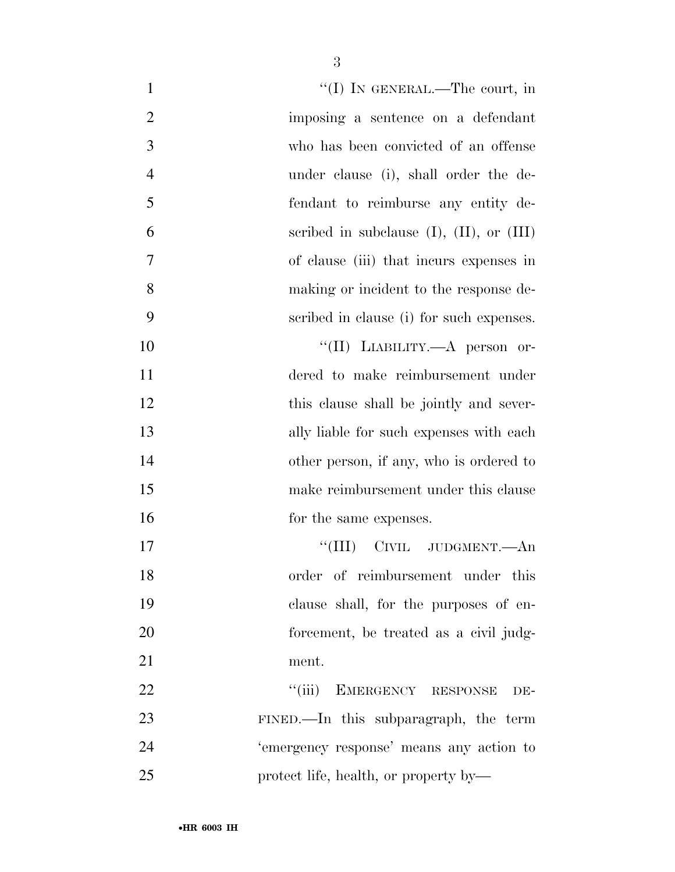| $\mathbf{1}$   | "(I) IN GENERAL.—The court, in                   |
|----------------|--------------------------------------------------|
| $\overline{2}$ | imposing a sentence on a defendant               |
| 3              | who has been convicted of an offense             |
| $\overline{4}$ | under clause (i), shall order the de-            |
| 5              | fendant to reimburse any entity de-              |
| 6              | scribed in subclause $(I)$ , $(II)$ , or $(III)$ |
| 7              | of clause (iii) that incurs expenses in          |
| 8              | making or incident to the response de-           |
| 9              | scribed in clause (i) for such expenses.         |
| 10             | "(II) LIABILITY.—A person or-                    |
| 11             | dered to make reimbursement under                |
| 12             | this clause shall be jointly and sever-          |
| 13             | ally liable for such expenses with each          |
| 14             | other person, if any, who is ordered to          |
| 15             | make reimbursement under this clause             |
| 16             | for the same expenses.                           |
| 17             | "(III) CIVIL JUDGMENT.—An                        |
| 18             | order of reimbursement under this                |
| 19             | clause shall, for the purposes of en-            |
| 20             | forcement, be treated as a civil judg-           |
| 21             | ment.                                            |
| 22             | ``(iii)<br>EMERGENCY RESPONSE<br>DE-             |
| 23             | FINED.—In this subparagraph, the term            |
| 24             | 'emergency response' means any action to         |
| 25             | protect life, health, or property by—            |